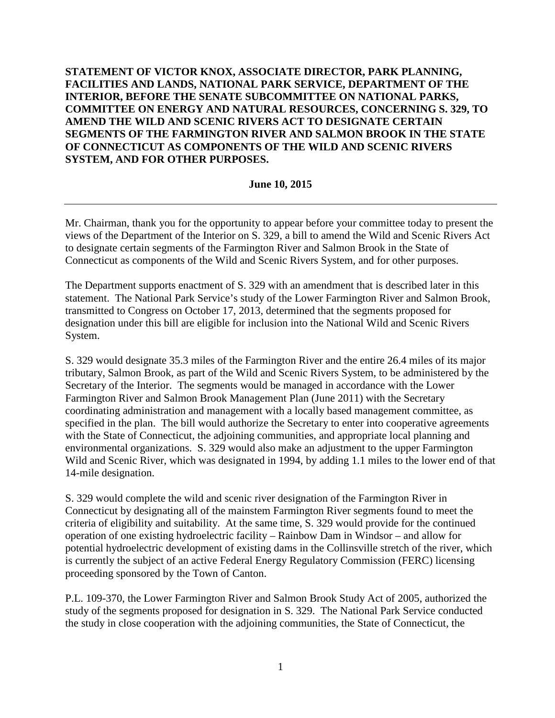**STATEMENT OF VICTOR KNOX, ASSOCIATE DIRECTOR, PARK PLANNING, FACILITIES AND LANDS, NATIONAL PARK SERVICE, DEPARTMENT OF THE INTERIOR, BEFORE THE SENATE SUBCOMMITTEE ON NATIONAL PARKS, COMMITTEE ON ENERGY AND NATURAL RESOURCES, CONCERNING S. 329, TO AMEND THE WILD AND SCENIC RIVERS ACT TO DESIGNATE CERTAIN SEGMENTS OF THE FARMINGTON RIVER AND SALMON BROOK IN THE STATE OF CONNECTICUT AS COMPONENTS OF THE WILD AND SCENIC RIVERS SYSTEM, AND FOR OTHER PURPOSES.** 

## **June 10, 2015**

Mr. Chairman, thank you for the opportunity to appear before your committee today to present the views of the Department of the Interior on S. 329, a bill to amend the Wild and Scenic Rivers Act to designate certain segments of the Farmington River and Salmon Brook in the State of Connecticut as components of the Wild and Scenic Rivers System, and for other purposes.

The Department supports enactment of S. 329 with an amendment that is described later in this statement. The National Park Service's study of the Lower Farmington River and Salmon Brook, transmitted to Congress on October 17, 2013, determined that the segments proposed for designation under this bill are eligible for inclusion into the National Wild and Scenic Rivers System.

S. 329 would designate 35.3 miles of the Farmington River and the entire 26.4 miles of its major tributary, Salmon Brook, as part of the Wild and Scenic Rivers System, to be administered by the Secretary of the Interior. The segments would be managed in accordance with the Lower Farmington River and Salmon Brook Management Plan (June 2011) with the Secretary coordinating administration and management with a locally based management committee, as specified in the plan. The bill would authorize the Secretary to enter into cooperative agreements with the State of Connecticut, the adjoining communities, and appropriate local planning and environmental organizations. S. 329 would also make an adjustment to the upper Farmington Wild and Scenic River, which was designated in 1994, by adding 1.1 miles to the lower end of that 14-mile designation.

S. 329 would complete the wild and scenic river designation of the Farmington River in Connecticut by designating all of the mainstem Farmington River segments found to meet the criteria of eligibility and suitability. At the same time, S. 329 would provide for the continued operation of one existing hydroelectric facility – Rainbow Dam in Windsor – and allow for potential hydroelectric development of existing dams in the Collinsville stretch of the river, which is currently the subject of an active Federal Energy Regulatory Commission (FERC) licensing proceeding sponsored by the Town of Canton.

P.L. 109-370, the Lower Farmington River and Salmon Brook Study Act of 2005, authorized the study of the segments proposed for designation in S. 329. The National Park Service conducted the study in close cooperation with the adjoining communities, the State of Connecticut, the